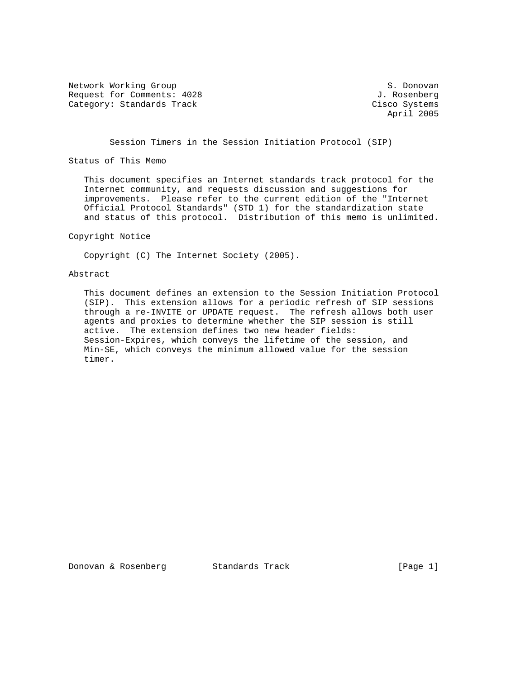Network Working Group S. Donovan Request for Comments: 4028 J. Rosenberg Category: Standards Track Cisco Systems

April 2005

Session Timers in the Session Initiation Protocol (SIP)

Status of This Memo

 This document specifies an Internet standards track protocol for the Internet community, and requests discussion and suggestions for improvements. Please refer to the current edition of the "Internet Official Protocol Standards" (STD 1) for the standardization state and status of this protocol. Distribution of this memo is unlimited.

# Copyright Notice

Copyright (C) The Internet Society (2005).

### Abstract

 This document defines an extension to the Session Initiation Protocol (SIP). This extension allows for a periodic refresh of SIP sessions through a re-INVITE or UPDATE request. The refresh allows both user agents and proxies to determine whether the SIP session is still active. The extension defines two new header fields: Session-Expires, which conveys the lifetime of the session, and Min-SE, which conveys the minimum allowed value for the session timer.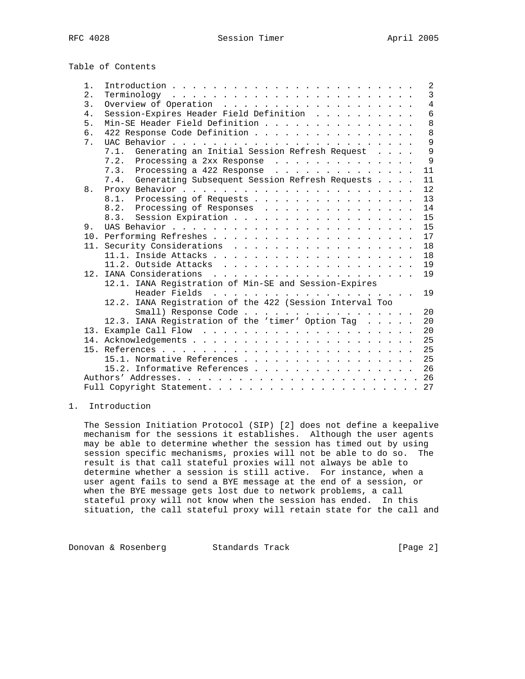Table of Contents

| $1$ . | 2                                                         |
|-------|-----------------------------------------------------------|
| 2.    | $\overline{3}$                                            |
| 3.    | $\overline{4}$                                            |
| 4.    | 6<br>Session-Expires Header Field Definition              |
| 5.    | 8<br>Min-SE Header Field Definition                       |
| 6.    | 8<br>422 Response Code Definition                         |
| 7.    | 9                                                         |
|       | 7.1. Generating an Initial Session Refresh Request<br>9   |
|       | - 9<br>7.2. Processing a 2xx Response                     |
|       | 7.3. Processing a 422 Response $\ldots$<br>11             |
|       | 7.4. Generating Subsequent Session Refresh Requests<br>11 |
| 8.    | 12                                                        |
|       | 8.1. Processing of Requests<br>13                         |
|       | 14<br>8.2. Processing of Responses                        |
|       | 8.3. Session Expiration<br>15                             |
| 9.    |                                                           |
|       | 17                                                        |
|       | 18                                                        |
|       | 18                                                        |
|       | 19                                                        |
|       | 19                                                        |
|       | 12.1. IANA Registration of Min-SE and Session-Expires     |
|       | 19                                                        |
|       | 12.2. IANA Registration of the 422 (Session Interval Too  |
|       | Small) Response Code<br>20                                |
|       | 12.3. IANA Registration of the 'timer' Option Tag<br>20   |
|       | 20                                                        |
|       |                                                           |
|       |                                                           |
|       | 15.1. Normative References 25                             |
|       | 15.2. Informative References 26                           |
|       |                                                           |
|       |                                                           |

## 1. Introduction

 The Session Initiation Protocol (SIP) [2] does not define a keepalive mechanism for the sessions it establishes. Although the user agents may be able to determine whether the session has timed out by using session specific mechanisms, proxies will not be able to do so. The result is that call stateful proxies will not always be able to determine whether a session is still active. For instance, when a user agent fails to send a BYE message at the end of a session, or when the BYE message gets lost due to network problems, a call stateful proxy will not know when the session has ended. In this situation, the call stateful proxy will retain state for the call and

Donovan & Rosenberg Standards Track [Page 2]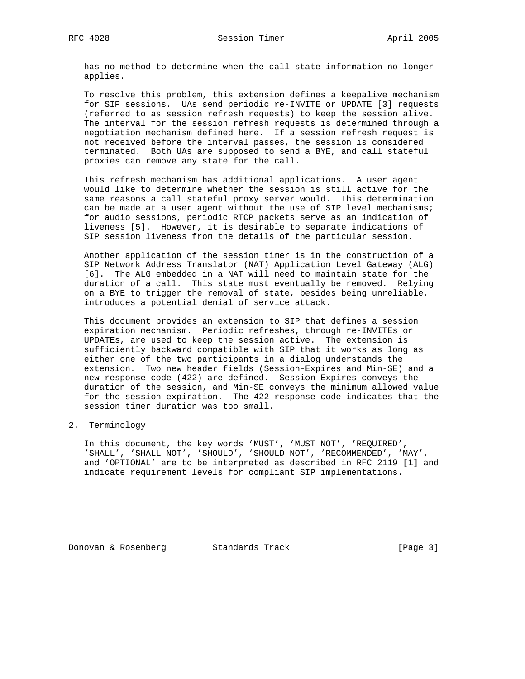has no method to determine when the call state information no longer applies.

 To resolve this problem, this extension defines a keepalive mechanism for SIP sessions. UAs send periodic re-INVITE or UPDATE [3] requests (referred to as session refresh requests) to keep the session alive. The interval for the session refresh requests is determined through a negotiation mechanism defined here. If a session refresh request is not received before the interval passes, the session is considered terminated. Both UAs are supposed to send a BYE, and call stateful proxies can remove any state for the call.

 This refresh mechanism has additional applications. A user agent would like to determine whether the session is still active for the same reasons a call stateful proxy server would. This determination can be made at a user agent without the use of SIP level mechanisms; for audio sessions, periodic RTCP packets serve as an indication of liveness [5]. However, it is desirable to separate indications of SIP session liveness from the details of the particular session.

 Another application of the session timer is in the construction of a SIP Network Address Translator (NAT) Application Level Gateway (ALG) [6]. The ALG embedded in a NAT will need to maintain state for the duration of a call. This state must eventually be removed. Relying on a BYE to trigger the removal of state, besides being unreliable, introduces a potential denial of service attack.

 This document provides an extension to SIP that defines a session expiration mechanism. Periodic refreshes, through re-INVITEs or UPDATEs, are used to keep the session active. The extension is sufficiently backward compatible with SIP that it works as long as either one of the two participants in a dialog understands the extension. Two new header fields (Session-Expires and Min-SE) and a new response code (422) are defined. Session-Expires conveys the duration of the session, and Min-SE conveys the minimum allowed value for the session expiration. The 422 response code indicates that the session timer duration was too small.

### 2. Terminology

 In this document, the key words 'MUST', 'MUST NOT', 'REQUIRED', 'SHALL', 'SHALL NOT', 'SHOULD', 'SHOULD NOT', 'RECOMMENDED', 'MAY', and 'OPTIONAL' are to be interpreted as described in RFC 2119 [1] and indicate requirement levels for compliant SIP implementations.

Donovan & Rosenberg Standards Track [Page 3]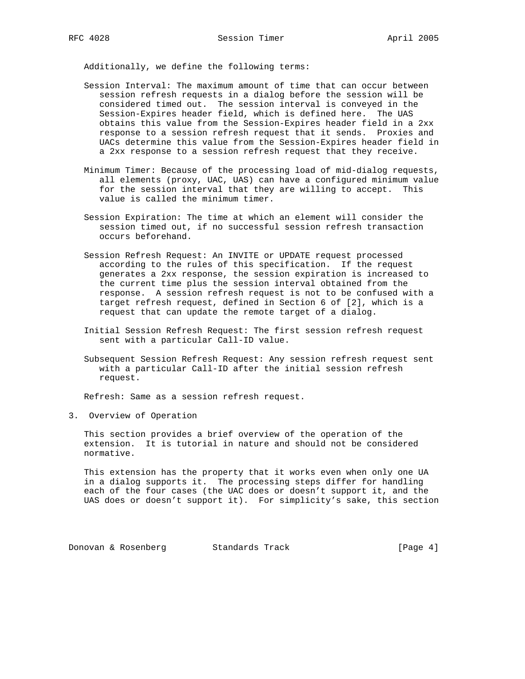Additionally, we define the following terms:

- Session Interval: The maximum amount of time that can occur between session refresh requests in a dialog before the session will be considered timed out. The session interval is conveyed in the Session-Expires header field, which is defined here. The UAS obtains this value from the Session-Expires header field in a 2xx response to a session refresh request that it sends. Proxies and UACs determine this value from the Session-Expires header field in a 2xx response to a session refresh request that they receive.
- Minimum Timer: Because of the processing load of mid-dialog requests, all elements (proxy, UAC, UAS) can have a configured minimum value for the session interval that they are willing to accept. This value is called the minimum timer.
- Session Expiration: The time at which an element will consider the session timed out, if no successful session refresh transaction occurs beforehand.
- Session Refresh Request: An INVITE or UPDATE request processed according to the rules of this specification. If the request generates a 2xx response, the session expiration is increased to the current time plus the session interval obtained from the response. A session refresh request is not to be confused with a target refresh request, defined in Section 6 of [2], which is a request that can update the remote target of a dialog.
- Initial Session Refresh Request: The first session refresh request sent with a particular Call-ID value.
- Subsequent Session Refresh Request: Any session refresh request sent with a particular Call-ID after the initial session refresh request.

Refresh: Same as a session refresh request.

3. Overview of Operation

 This section provides a brief overview of the operation of the extension. It is tutorial in nature and should not be considered normative.

 This extension has the property that it works even when only one UA in a dialog supports it. The processing steps differ for handling each of the four cases (the UAC does or doesn't support it, and the UAS does or doesn't support it). For simplicity's sake, this section

Donovan & Rosenberg Standards Track [Page 4]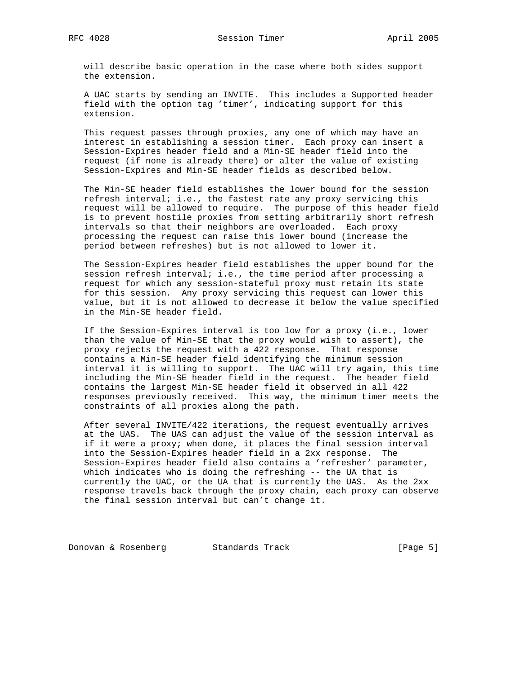will describe basic operation in the case where both sides support the extension.

 A UAC starts by sending an INVITE. This includes a Supported header field with the option tag 'timer', indicating support for this extension.

 This request passes through proxies, any one of which may have an interest in establishing a session timer. Each proxy can insert a Session-Expires header field and a Min-SE header field into the request (if none is already there) or alter the value of existing Session-Expires and Min-SE header fields as described below.

 The Min-SE header field establishes the lower bound for the session refresh interval; i.e., the fastest rate any proxy servicing this request will be allowed to require. The purpose of this header field is to prevent hostile proxies from setting arbitrarily short refresh intervals so that their neighbors are overloaded. Each proxy processing the request can raise this lower bound (increase the period between refreshes) but is not allowed to lower it.

 The Session-Expires header field establishes the upper bound for the session refresh interval; i.e., the time period after processing a request for which any session-stateful proxy must retain its state for this session. Any proxy servicing this request can lower this value, but it is not allowed to decrease it below the value specified in the Min-SE header field.

 If the Session-Expires interval is too low for a proxy (i.e., lower than the value of Min-SE that the proxy would wish to assert), the proxy rejects the request with a 422 response. That response contains a Min-SE header field identifying the minimum session interval it is willing to support. The UAC will try again, this time including the Min-SE header field in the request. The header field contains the largest Min-SE header field it observed in all 422 responses previously received. This way, the minimum timer meets the constraints of all proxies along the path.

 After several INVITE/422 iterations, the request eventually arrives at the UAS. The UAS can adjust the value of the session interval as if it were a proxy; when done, it places the final session interval into the Session-Expires header field in a 2xx response. The Session-Expires header field also contains a 'refresher' parameter, which indicates who is doing the refreshing -- the UA that is currently the UAC, or the UA that is currently the UAS. As the 2xx response travels back through the proxy chain, each proxy can observe the final session interval but can't change it.

Donovan & Rosenberg Standards Track (Page 5)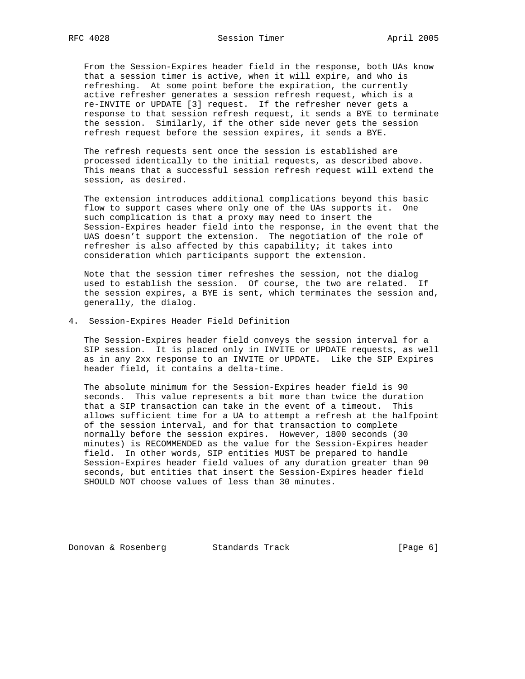From the Session-Expires header field in the response, both UAs know that a session timer is active, when it will expire, and who is refreshing. At some point before the expiration, the currently active refresher generates a session refresh request, which is a re-INVITE or UPDATE [3] request. If the refresher never gets a response to that session refresh request, it sends a BYE to terminate the session. Similarly, if the other side never gets the session refresh request before the session expires, it sends a BYE.

 The refresh requests sent once the session is established are processed identically to the initial requests, as described above. This means that a successful session refresh request will extend the session, as desired.

 The extension introduces additional complications beyond this basic flow to support cases where only one of the UAs supports it. One such complication is that a proxy may need to insert the Session-Expires header field into the response, in the event that the UAS doesn't support the extension. The negotiation of the role of refresher is also affected by this capability; it takes into consideration which participants support the extension.

 Note that the session timer refreshes the session, not the dialog used to establish the session. Of course, the two are related. If the session expires, a BYE is sent, which terminates the session and, generally, the dialog.

### 4. Session-Expires Header Field Definition

 The Session-Expires header field conveys the session interval for a SIP session. It is placed only in INVITE or UPDATE requests, as well as in any 2xx response to an INVITE or UPDATE. Like the SIP Expires header field, it contains a delta-time.

 The absolute minimum for the Session-Expires header field is 90 seconds. This value represents a bit more than twice the duration that a SIP transaction can take in the event of a timeout. This allows sufficient time for a UA to attempt a refresh at the halfpoint of the session interval, and for that transaction to complete normally before the session expires. However, 1800 seconds (30 minutes) is RECOMMENDED as the value for the Session-Expires header field. In other words, SIP entities MUST be prepared to handle Session-Expires header field values of any duration greater than 90 seconds, but entities that insert the Session-Expires header field SHOULD NOT choose values of less than 30 minutes.

Donovan & Rosenberg Standards Track [Page 6]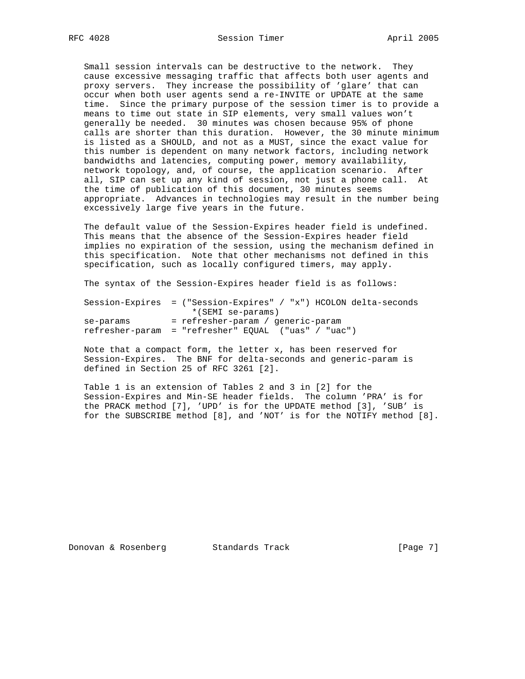Small session intervals can be destructive to the network. They cause excessive messaging traffic that affects both user agents and proxy servers. They increase the possibility of 'glare' that can occur when both user agents send a re-INVITE or UPDATE at the same time. Since the primary purpose of the session timer is to provide a means to time out state in SIP elements, very small values won't generally be needed. 30 minutes was chosen because 95% of phone calls are shorter than this duration. However, the 30 minute minimum is listed as a SHOULD, and not as a MUST, since the exact value for this number is dependent on many network factors, including network bandwidths and latencies, computing power, memory availability, network topology, and, of course, the application scenario. After all, SIP can set up any kind of session, not just a phone call. At the time of publication of this document, 30 minutes seems appropriate. Advances in technologies may result in the number being excessively large five years in the future.

 The default value of the Session-Expires header field is undefined. This means that the absence of the Session-Expires header field implies no expiration of the session, using the mechanism defined in this specification. Note that other mechanisms not defined in this specification, such as locally configured timers, may apply.

The syntax of the Session-Expires header field is as follows:

 Session-Expires = ("Session-Expires" / "x") HCOLON delta-seconds \*(SEMI se-params) se-params = refresher-param / generic-param refresher-param = "refresher" EQUAL ("uas" / "uac")

 Note that a compact form, the letter x, has been reserved for Session-Expires. The BNF for delta-seconds and generic-param is defined in Section 25 of RFC 3261 [2].

 Table 1 is an extension of Tables 2 and 3 in [2] for the Session-Expires and Min-SE header fields. The column 'PRA' is for the PRACK method [7], 'UPD' is for the UPDATE method [3], 'SUB' is for the SUBSCRIBE method [8], and 'NOT' is for the NOTIFY method [8].

Donovan & Rosenberg Standards Track [Page 7]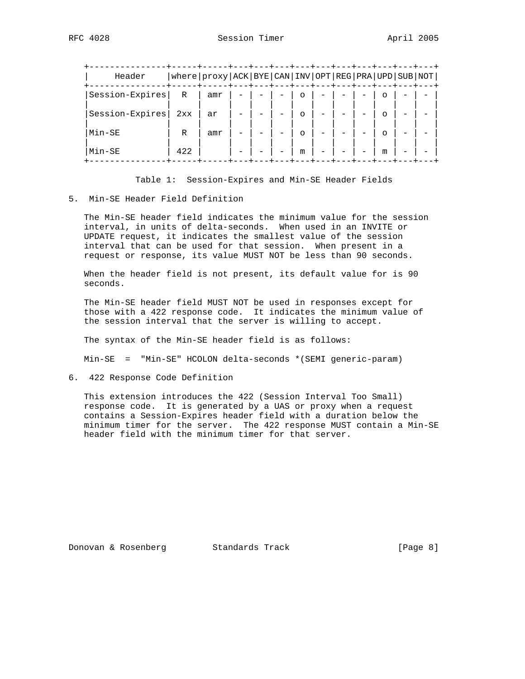| Header          |              | where   proxy   ACK   BYE   CAN   INV   OPT   REG   PRA   UPD   SUB   NOT |  |          |  |   |  |
|-----------------|--------------|---------------------------------------------------------------------------|--|----------|--|---|--|
| Session-Expires | R            | amr                                                                       |  | O        |  |   |  |
| Session-Expires | 2xx          | ar                                                                        |  | $\circ$  |  |   |  |
| Min-SE          | $\mathbb{R}$ | amr                                                                       |  | $\Omega$ |  |   |  |
| Min-SE          | 422          |                                                                           |  | m        |  | m |  |

Table 1: Session-Expires and Min-SE Header Fields

#### 5. Min-SE Header Field Definition

 The Min-SE header field indicates the minimum value for the session interval, in units of delta-seconds. When used in an INVITE or UPDATE request, it indicates the smallest value of the session interval that can be used for that session. When present in a request or response, its value MUST NOT be less than 90 seconds.

 When the header field is not present, its default value for is 90 seconds.

 The Min-SE header field MUST NOT be used in responses except for those with a 422 response code. It indicates the minimum value of the session interval that the server is willing to accept.

The syntax of the Min-SE header field is as follows:

Min-SE = "Min-SE" HCOLON delta-seconds \*(SEMI generic-param)

6. 422 Response Code Definition

 This extension introduces the 422 (Session Interval Too Small) response code. It is generated by a UAS or proxy when a request contains a Session-Expires header field with a duration below the minimum timer for the server. The 422 response MUST contain a Min-SE header field with the minimum timer for that server.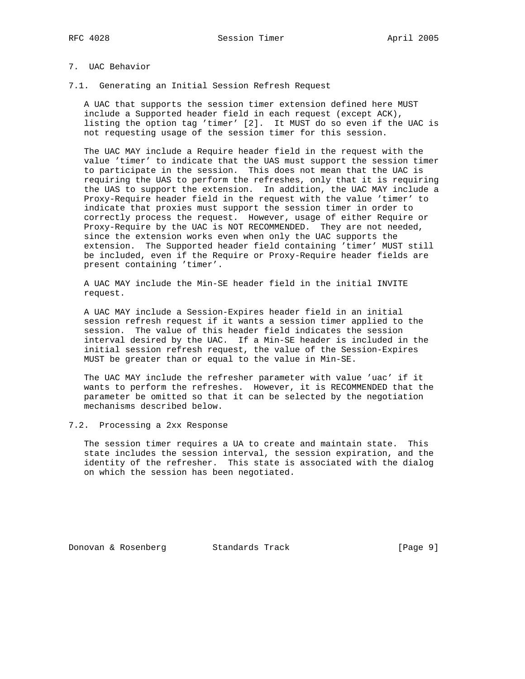# 7. UAC Behavior

7.1. Generating an Initial Session Refresh Request

 A UAC that supports the session timer extension defined here MUST include a Supported header field in each request (except ACK), listing the option tag 'timer' [2]. It MUST do so even if the UAC is not requesting usage of the session timer for this session.

 The UAC MAY include a Require header field in the request with the value 'timer' to indicate that the UAS must support the session timer to participate in the session. This does not mean that the UAC is requiring the UAS to perform the refreshes, only that it is requiring the UAS to support the extension. In addition, the UAC MAY include a Proxy-Require header field in the request with the value 'timer' to indicate that proxies must support the session timer in order to correctly process the request. However, usage of either Require or Proxy-Require by the UAC is NOT RECOMMENDED. They are not needed, since the extension works even when only the UAC supports the extension. The Supported header field containing 'timer' MUST still be included, even if the Require or Proxy-Require header fields are present containing 'timer'.

 A UAC MAY include the Min-SE header field in the initial INVITE request.

 A UAC MAY include a Session-Expires header field in an initial session refresh request if it wants a session timer applied to the session. The value of this header field indicates the session interval desired by the UAC. If a Min-SE header is included in the initial session refresh request, the value of the Session-Expires MUST be greater than or equal to the value in Min-SE.

 The UAC MAY include the refresher parameter with value 'uac' if it wants to perform the refreshes. However, it is RECOMMENDED that the parameter be omitted so that it can be selected by the negotiation mechanisms described below.

### 7.2. Processing a 2xx Response

 The session timer requires a UA to create and maintain state. This state includes the session interval, the session expiration, and the identity of the refresher. This state is associated with the dialog on which the session has been negotiated.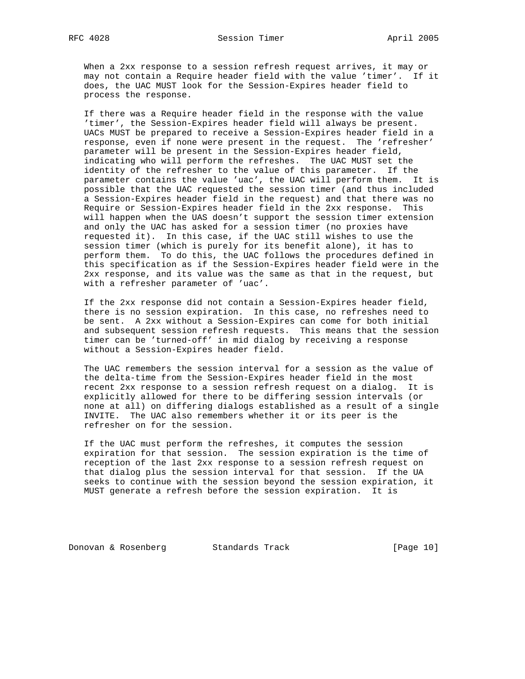When a 2xx response to a session refresh request arrives, it may or may not contain a Require header field with the value 'timer'. If it does, the UAC MUST look for the Session-Expires header field to process the response.

 If there was a Require header field in the response with the value 'timer', the Session-Expires header field will always be present. UACs MUST be prepared to receive a Session-Expires header field in a response, even if none were present in the request. The 'refresher' parameter will be present in the Session-Expires header field, indicating who will perform the refreshes. The UAC MUST set the identity of the refresher to the value of this parameter. If the parameter contains the value 'uac', the UAC will perform them. It is possible that the UAC requested the session timer (and thus included a Session-Expires header field in the request) and that there was no Require or Session-Expires header field in the 2xx response. This will happen when the UAS doesn't support the session timer extension and only the UAC has asked for a session timer (no proxies have requested it). In this case, if the UAC still wishes to use the session timer (which is purely for its benefit alone), it has to perform them. To do this, the UAC follows the procedures defined in this specification as if the Session-Expires header field were in the 2xx response, and its value was the same as that in the request, but with a refresher parameter of 'uac'.

 If the 2xx response did not contain a Session-Expires header field, there is no session expiration. In this case, no refreshes need to be sent. A 2xx without a Session-Expires can come for both initial and subsequent session refresh requests. This means that the session timer can be 'turned-off' in mid dialog by receiving a response without a Session-Expires header field.

 The UAC remembers the session interval for a session as the value of the delta-time from the Session-Expires header field in the most recent 2xx response to a session refresh request on a dialog. It is explicitly allowed for there to be differing session intervals (or none at all) on differing dialogs established as a result of a single INVITE. The UAC also remembers whether it or its peer is the refresher on for the session.

 If the UAC must perform the refreshes, it computes the session expiration for that session. The session expiration is the time of reception of the last 2xx response to a session refresh request on that dialog plus the session interval for that session. If the UA seeks to continue with the session beyond the session expiration, it MUST generate a refresh before the session expiration. It is

Donovan & Rosenberg Standards Track [Page 10]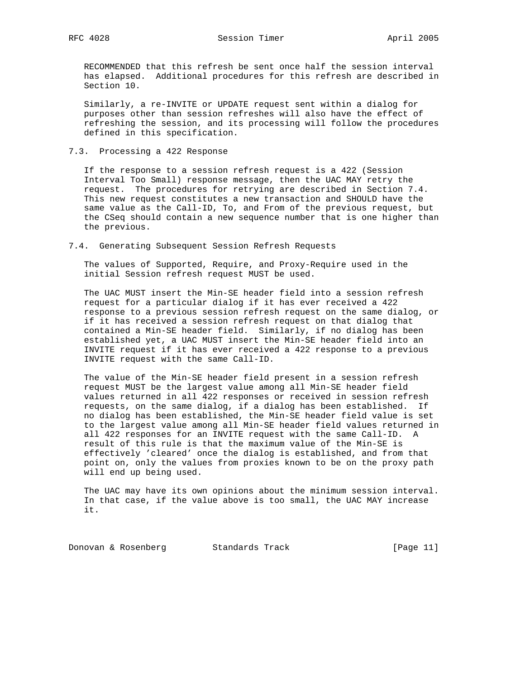RECOMMENDED that this refresh be sent once half the session interval has elapsed. Additional procedures for this refresh are described in Section 10.

 Similarly, a re-INVITE or UPDATE request sent within a dialog for purposes other than session refreshes will also have the effect of refreshing the session, and its processing will follow the procedures defined in this specification.

7.3. Processing a 422 Response

 If the response to a session refresh request is a 422 (Session Interval Too Small) response message, then the UAC MAY retry the request. The procedures for retrying are described in Section 7.4. This new request constitutes a new transaction and SHOULD have the same value as the Call-ID, To, and From of the previous request, but the CSeq should contain a new sequence number that is one higher than the previous.

7.4. Generating Subsequent Session Refresh Requests

 The values of Supported, Require, and Proxy-Require used in the initial Session refresh request MUST be used.

 The UAC MUST insert the Min-SE header field into a session refresh request for a particular dialog if it has ever received a 422 response to a previous session refresh request on the same dialog, or if it has received a session refresh request on that dialog that contained a Min-SE header field. Similarly, if no dialog has been established yet, a UAC MUST insert the Min-SE header field into an INVITE request if it has ever received a 422 response to a previous INVITE request with the same Call-ID.

 The value of the Min-SE header field present in a session refresh request MUST be the largest value among all Min-SE header field values returned in all 422 responses or received in session refresh requests, on the same dialog, if a dialog has been established. If no dialog has been established, the Min-SE header field value is set to the largest value among all Min-SE header field values returned in all 422 responses for an INVITE request with the same Call-ID. A result of this rule is that the maximum value of the Min-SE is effectively 'cleared' once the dialog is established, and from that point on, only the values from proxies known to be on the proxy path will end up being used.

 The UAC may have its own opinions about the minimum session interval. In that case, if the value above is too small, the UAC MAY increase it.

Donovan & Rosenberg Standards Track [Page 11]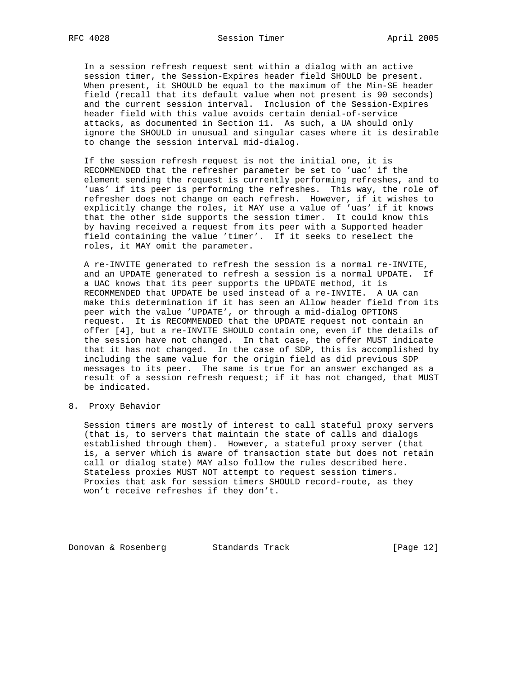In a session refresh request sent within a dialog with an active session timer, the Session-Expires header field SHOULD be present. When present, it SHOULD be equal to the maximum of the Min-SE header field (recall that its default value when not present is 90 seconds) and the current session interval. Inclusion of the Session-Expires header field with this value avoids certain denial-of-service attacks, as documented in Section 11. As such, a UA should only ignore the SHOULD in unusual and singular cases where it is desirable to change the session interval mid-dialog.

 If the session refresh request is not the initial one, it is RECOMMENDED that the refresher parameter be set to 'uac' if the element sending the request is currently performing refreshes, and to 'uas' if its peer is performing the refreshes. This way, the role of refresher does not change on each refresh. However, if it wishes to explicitly change the roles, it MAY use a value of 'uas' if it knows that the other side supports the session timer. It could know this by having received a request from its peer with a Supported header field containing the value 'timer'. If it seeks to reselect the roles, it MAY omit the parameter.

 A re-INVITE generated to refresh the session is a normal re-INVITE, and an UPDATE generated to refresh a session is a normal UPDATE. If a UAC knows that its peer supports the UPDATE method, it is RECOMMENDED that UPDATE be used instead of a re-INVITE. A UA can make this determination if it has seen an Allow header field from its peer with the value 'UPDATE', or through a mid-dialog OPTIONS request. It is RECOMMENDED that the UPDATE request not contain an offer [4], but a re-INVITE SHOULD contain one, even if the details of the session have not changed. In that case, the offer MUST indicate that it has not changed. In the case of SDP, this is accomplished by including the same value for the origin field as did previous SDP messages to its peer. The same is true for an answer exchanged as a result of a session refresh request; if it has not changed, that MUST be indicated.

8. Proxy Behavior

 Session timers are mostly of interest to call stateful proxy servers (that is, to servers that maintain the state of calls and dialogs established through them). However, a stateful proxy server (that is, a server which is aware of transaction state but does not retain call or dialog state) MAY also follow the rules described here. Stateless proxies MUST NOT attempt to request session timers. Proxies that ask for session timers SHOULD record-route, as they won't receive refreshes if they don't.

Donovan & Rosenberg Standards Track [Page 12]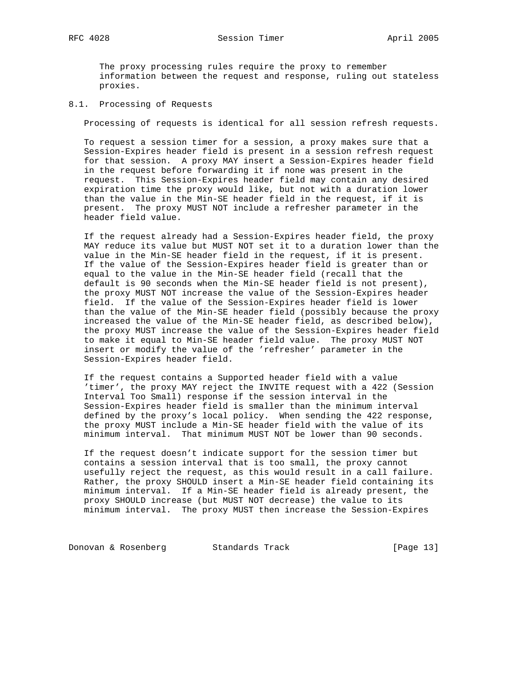The proxy processing rules require the proxy to remember information between the request and response, ruling out stateless proxies.

## 8.1. Processing of Requests

Processing of requests is identical for all session refresh requests.

 To request a session timer for a session, a proxy makes sure that a Session-Expires header field is present in a session refresh request for that session. A proxy MAY insert a Session-Expires header field in the request before forwarding it if none was present in the request. This Session-Expires header field may contain any desired expiration time the proxy would like, but not with a duration lower than the value in the Min-SE header field in the request, if it is present. The proxy MUST NOT include a refresher parameter in the header field value.

 If the request already had a Session-Expires header field, the proxy MAY reduce its value but MUST NOT set it to a duration lower than the value in the Min-SE header field in the request, if it is present. If the value of the Session-Expires header field is greater than or equal to the value in the Min-SE header field (recall that the default is 90 seconds when the Min-SE header field is not present), the proxy MUST NOT increase the value of the Session-Expires header field. If the value of the Session-Expires header field is lower than the value of the Min-SE header field (possibly because the proxy increased the value of the Min-SE header field, as described below), the proxy MUST increase the value of the Session-Expires header field to make it equal to Min-SE header field value. The proxy MUST NOT insert or modify the value of the 'refresher' parameter in the Session-Expires header field.

 If the request contains a Supported header field with a value 'timer', the proxy MAY reject the INVITE request with a 422 (Session Interval Too Small) response if the session interval in the Session-Expires header field is smaller than the minimum interval defined by the proxy's local policy. When sending the 422 response, the proxy MUST include a Min-SE header field with the value of its minimum interval. That minimum MUST NOT be lower than 90 seconds.

 If the request doesn't indicate support for the session timer but contains a session interval that is too small, the proxy cannot usefully reject the request, as this would result in a call failure. Rather, the proxy SHOULD insert a Min-SE header field containing its minimum interval. If a Min-SE header field is already present, the proxy SHOULD increase (but MUST NOT decrease) the value to its minimum interval. The proxy MUST then increase the Session-Expires

Donovan & Rosenberg Standards Track [Page 13]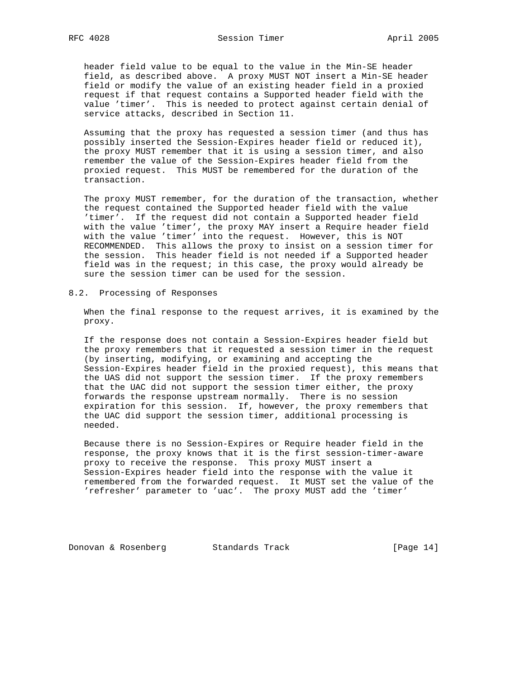header field value to be equal to the value in the Min-SE header field, as described above. A proxy MUST NOT insert a Min-SE header field or modify the value of an existing header field in a proxied request if that request contains a Supported header field with the value 'timer'. This is needed to protect against certain denial of service attacks, described in Section 11.

 Assuming that the proxy has requested a session timer (and thus has possibly inserted the Session-Expires header field or reduced it), the proxy MUST remember that it is using a session timer, and also remember the value of the Session-Expires header field from the proxied request. This MUST be remembered for the duration of the transaction.

 The proxy MUST remember, for the duration of the transaction, whether the request contained the Supported header field with the value 'timer'. If the request did not contain a Supported header field with the value 'timer', the proxy MAY insert a Require header field with the value 'timer' into the request. However, this is NOT RECOMMENDED. This allows the proxy to insist on a session timer for the session. This header field is not needed if a Supported header field was in the request; in this case, the proxy would already be sure the session timer can be used for the session.

8.2. Processing of Responses

 When the final response to the request arrives, it is examined by the proxy.

 If the response does not contain a Session-Expires header field but the proxy remembers that it requested a session timer in the request (by inserting, modifying, or examining and accepting the Session-Expires header field in the proxied request), this means that the UAS did not support the session timer. If the proxy remembers that the UAC did not support the session timer either, the proxy forwards the response upstream normally. There is no session expiration for this session. If, however, the proxy remembers that the UAC did support the session timer, additional processing is needed.

 Because there is no Session-Expires or Require header field in the response, the proxy knows that it is the first session-timer-aware proxy to receive the response. This proxy MUST insert a Session-Expires header field into the response with the value it remembered from the forwarded request. It MUST set the value of the 'refresher' parameter to 'uac'. The proxy MUST add the 'timer'

Donovan & Rosenberg Standards Track [Page 14]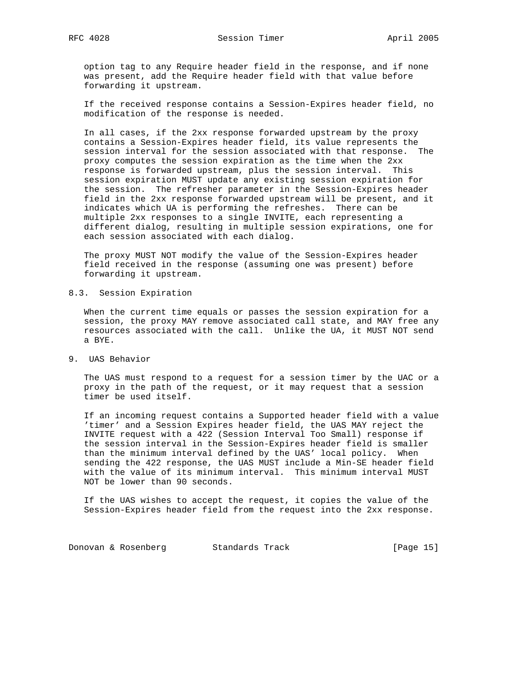option tag to any Require header field in the response, and if none was present, add the Require header field with that value before forwarding it upstream.

 If the received response contains a Session-Expires header field, no modification of the response is needed.

 In all cases, if the 2xx response forwarded upstream by the proxy contains a Session-Expires header field, its value represents the session interval for the session associated with that response. The proxy computes the session expiration as the time when the 2xx response is forwarded upstream, plus the session interval. This session expiration MUST update any existing session expiration for the session. The refresher parameter in the Session-Expires header field in the 2xx response forwarded upstream will be present, and it indicates which UA is performing the refreshes. There can be multiple 2xx responses to a single INVITE, each representing a different dialog, resulting in multiple session expirations, one for each session associated with each dialog.

 The proxy MUST NOT modify the value of the Session-Expires header field received in the response (assuming one was present) before forwarding it upstream.

8.3. Session Expiration

 When the current time equals or passes the session expiration for a session, the proxy MAY remove associated call state, and MAY free any resources associated with the call. Unlike the UA, it MUST NOT send a BYE.

9. UAS Behavior

 The UAS must respond to a request for a session timer by the UAC or a proxy in the path of the request, or it may request that a session timer be used itself.

 If an incoming request contains a Supported header field with a value 'timer' and a Session Expires header field, the UAS MAY reject the INVITE request with a 422 (Session Interval Too Small) response if the session interval in the Session-Expires header field is smaller than the minimum interval defined by the UAS' local policy. When sending the 422 response, the UAS MUST include a Min-SE header field with the value of its minimum interval. This minimum interval MUST NOT be lower than 90 seconds.

 If the UAS wishes to accept the request, it copies the value of the Session-Expires header field from the request into the 2xx response.

Donovan & Rosenberg Standards Track [Page 15]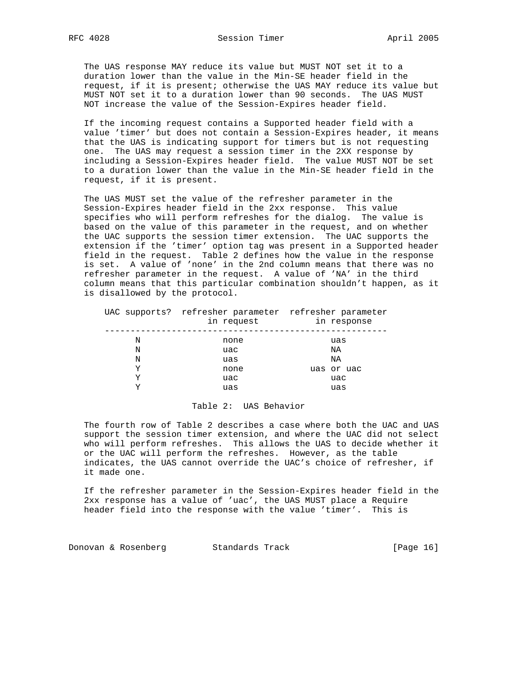The UAS response MAY reduce its value but MUST NOT set it to a duration lower than the value in the Min-SE header field in the request, if it is present; otherwise the UAS MAY reduce its value but MUST NOT set it to a duration lower than 90 seconds. The UAS MUST NOT increase the value of the Session-Expires header field.

 If the incoming request contains a Supported header field with a value 'timer' but does not contain a Session-Expires header, it means that the UAS is indicating support for timers but is not requesting one. The UAS may request a session timer in the 2XX response by including a Session-Expires header field. The value MUST NOT be set to a duration lower than the value in the Min-SE header field in the request, if it is present.

 The UAS MUST set the value of the refresher parameter in the Session-Expires header field in the 2xx response. This value specifies who will perform refreshes for the dialog. The value is based on the value of this parameter in the request, and on whether the UAC supports the session timer extension. The UAC supports the extension if the 'timer' option tag was present in a Supported header field in the request. Table 2 defines how the value in the response is set. A value of 'none' in the 2nd column means that there was no refresher parameter in the request. A value of 'NA' in the third column means that this particular combination shouldn't happen, as it is disallowed by the protocol.

|   | UAC supports? refresher parameter refresher parameter<br>in request | in response |
|---|---------------------------------------------------------------------|-------------|
| Ν | none                                                                | uas         |
| N | uac                                                                 | ΝA          |
| N | uas                                                                 | ΝA          |
| Y | none                                                                | uas or uac  |
| Y | uac                                                                 | uac         |
| v | uas                                                                 | uas         |

### Table 2: UAS Behavior

 The fourth row of Table 2 describes a case where both the UAC and UAS support the session timer extension, and where the UAC did not select who will perform refreshes. This allows the UAS to decide whether it or the UAC will perform the refreshes. However, as the table indicates, the UAS cannot override the UAC's choice of refresher, if it made one.

 If the refresher parameter in the Session-Expires header field in the 2xx response has a value of 'uac', the UAS MUST place a Require header field into the response with the value 'timer'. This is

Donovan & Rosenberg Standards Track [Page 16]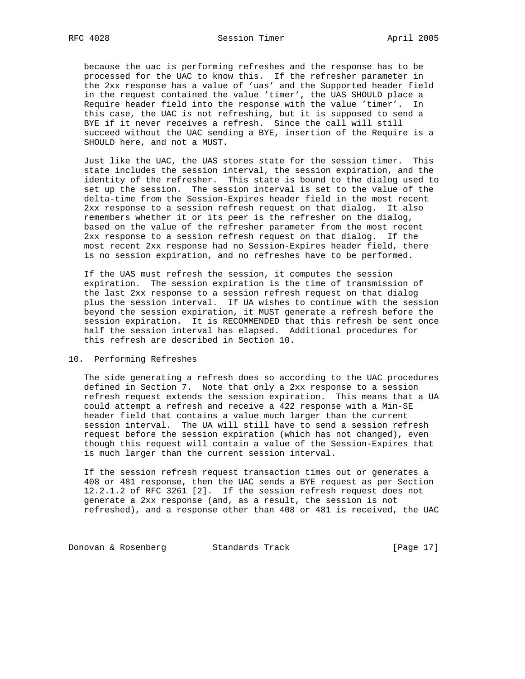because the uac is performing refreshes and the response has to be processed for the UAC to know this. If the refresher parameter in the 2xx response has a value of 'uas' and the Supported header field in the request contained the value 'timer', the UAS SHOULD place a Require header field into the response with the value 'timer'. In this case, the UAC is not refreshing, but it is supposed to send a BYE if it never receives a refresh. Since the call will still succeed without the UAC sending a BYE, insertion of the Require is a SHOULD here, and not a MUST.

 Just like the UAC, the UAS stores state for the session timer. This state includes the session interval, the session expiration, and the identity of the refresher. This state is bound to the dialog used to set up the session. The session interval is set to the value of the delta-time from the Session-Expires header field in the most recent 2xx response to a session refresh request on that dialog. It also remembers whether it or its peer is the refresher on the dialog, based on the value of the refresher parameter from the most recent 2xx response to a session refresh request on that dialog. If the most recent 2xx response had no Session-Expires header field, there is no session expiration, and no refreshes have to be performed.

 If the UAS must refresh the session, it computes the session expiration. The session expiration is the time of transmission of the last 2xx response to a session refresh request on that dialog plus the session interval. If UA wishes to continue with the session beyond the session expiration, it MUST generate a refresh before the session expiration. It is RECOMMENDED that this refresh be sent once half the session interval has elapsed. Additional procedures for this refresh are described in Section 10.

### 10. Performing Refreshes

 The side generating a refresh does so according to the UAC procedures defined in Section 7. Note that only a 2xx response to a session refresh request extends the session expiration. This means that a UA could attempt a refresh and receive a 422 response with a Min-SE header field that contains a value much larger than the current session interval. The UA will still have to send a session refresh request before the session expiration (which has not changed), even though this request will contain a value of the Session-Expires that is much larger than the current session interval.

 If the session refresh request transaction times out or generates a 408 or 481 response, then the UAC sends a BYE request as per Section 12.2.1.2 of RFC 3261 [2]. If the session refresh request does not generate a 2xx response (and, as a result, the session is not refreshed), and a response other than 408 or 481 is received, the UAC

Donovan & Rosenberg Standards Track [Page 17]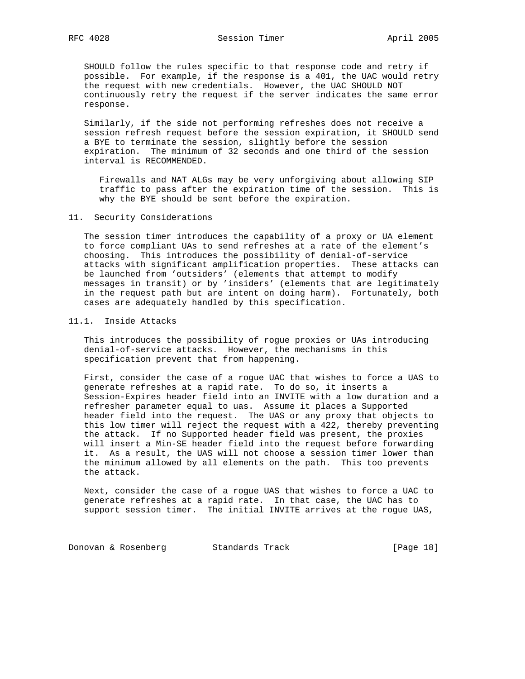SHOULD follow the rules specific to that response code and retry if possible. For example, if the response is a 401, the UAC would retry the request with new credentials. However, the UAC SHOULD NOT continuously retry the request if the server indicates the same error response.

 Similarly, if the side not performing refreshes does not receive a session refresh request before the session expiration, it SHOULD send a BYE to terminate the session, slightly before the session expiration. The minimum of 32 seconds and one third of the session interval is RECOMMENDED.

 Firewalls and NAT ALGs may be very unforgiving about allowing SIP traffic to pass after the expiration time of the session. This is why the BYE should be sent before the expiration.

### 11. Security Considerations

 The session timer introduces the capability of a proxy or UA element to force compliant UAs to send refreshes at a rate of the element's choosing. This introduces the possibility of denial-of-service attacks with significant amplification properties. These attacks can be launched from 'outsiders' (elements that attempt to modify messages in transit) or by 'insiders' (elements that are legitimately in the request path but are intent on doing harm). Fortunately, both cases are adequately handled by this specification.

### 11.1. Inside Attacks

 This introduces the possibility of rogue proxies or UAs introducing denial-of-service attacks. However, the mechanisms in this specification prevent that from happening.

 First, consider the case of a rogue UAC that wishes to force a UAS to generate refreshes at a rapid rate. To do so, it inserts a Session-Expires header field into an INVITE with a low duration and a refresher parameter equal to uas. Assume it places a Supported header field into the request. The UAS or any proxy that objects to this low timer will reject the request with a 422, thereby preventing the attack. If no Supported header field was present, the proxies will insert a Min-SE header field into the request before forwarding it. As a result, the UAS will not choose a session timer lower than the minimum allowed by all elements on the path. This too prevents the attack.

 Next, consider the case of a rogue UAS that wishes to force a UAC to generate refreshes at a rapid rate. In that case, the UAC has to support session timer. The initial INVITE arrives at the rogue UAS,

Donovan & Rosenberg Standards Track [Page 18]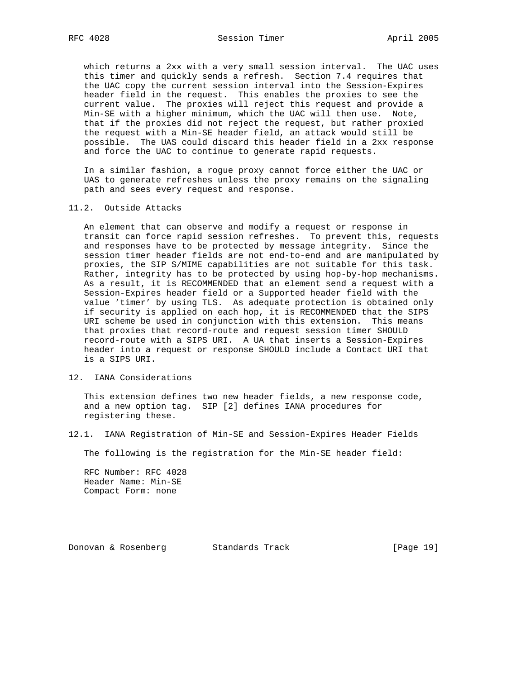which returns a 2xx with a very small session interval. The UAC uses this timer and quickly sends a refresh. Section 7.4 requires that the UAC copy the current session interval into the Session-Expires header field in the request. This enables the proxies to see the current value. The proxies will reject this request and provide a Min-SE with a higher minimum, which the UAC will then use. Note, that if the proxies did not reject the request, but rather proxied the request with a Min-SE header field, an attack would still be possible. The UAS could discard this header field in a 2xx response and force the UAC to continue to generate rapid requests.

 In a similar fashion, a rogue proxy cannot force either the UAC or UAS to generate refreshes unless the proxy remains on the signaling path and sees every request and response.

#### 11.2. Outside Attacks

 An element that can observe and modify a request or response in transit can force rapid session refreshes. To prevent this, requests and responses have to be protected by message integrity. Since the session timer header fields are not end-to-end and are manipulated by proxies, the SIP S/MIME capabilities are not suitable for this task. Rather, integrity has to be protected by using hop-by-hop mechanisms. As a result, it is RECOMMENDED that an element send a request with a Session-Expires header field or a Supported header field with the value 'timer' by using TLS. As adequate protection is obtained only if security is applied on each hop, it is RECOMMENDED that the SIPS URI scheme be used in conjunction with this extension. This means that proxies that record-route and request session timer SHOULD record-route with a SIPS URI. A UA that inserts a Session-Expires header into a request or response SHOULD include a Contact URI that is a SIPS URI.

### 12. IANA Considerations

 This extension defines two new header fields, a new response code, and a new option tag. SIP [2] defines IANA procedures for registering these.

12.1. IANA Registration of Min-SE and Session-Expires Header Fields

The following is the registration for the Min-SE header field:

 RFC Number: RFC 4028 Header Name: Min-SE Compact Form: none

Donovan & Rosenberg Standards Track [Page 19]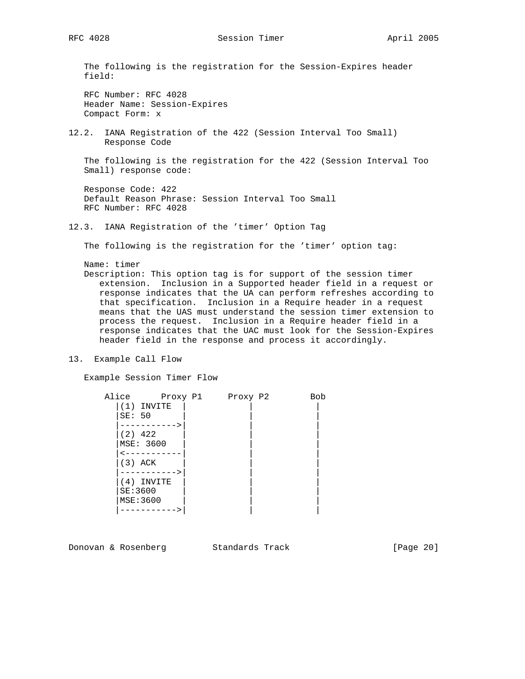RFC 4028 Session Timer April 2005

 The following is the registration for the Session-Expires header field:

 RFC Number: RFC 4028 Header Name: Session-Expires Compact Form: x

12.2. IANA Registration of the 422 (Session Interval Too Small) Response Code

 The following is the registration for the 422 (Session Interval Too Small) response code:

 Response Code: 422 Default Reason Phrase: Session Interval Too Small RFC Number: RFC 4028

12.3. IANA Registration of the 'timer' Option Tag

The following is the registration for the 'timer' option tag:

Name: timer

 Description: This option tag is for support of the session timer extension. Inclusion in a Supported header field in a request or response indicates that the UA can perform refreshes according to that specification. Inclusion in a Require header in a request means that the UAS must understand the session timer extension to process the request. Inclusion in a Require header field in a response indicates that the UAC must look for the Session-Expires header field in the response and process it accordingly.

13. Example Call Flow

Example Session Timer Flow

| Alice            | Proxy P1 | Proxy P2 | Bob |
|------------------|----------|----------|-----|
| (1) INVITE       |          |          |     |
| SE: 50           |          |          |     |
|                  |          |          |     |
| $(2)$ 422        |          |          |     |
| MSE: 3600        |          |          |     |
|                  |          |          |     |
| (3) ACK          |          |          |     |
|                  |          |          |     |
| (4) INVITE       |          |          |     |
| SE:3600          |          |          |     |
| <b>MSE: 3600</b> |          |          |     |
|                  |          |          |     |

Donovan & Rosenberg Standards Track [Page 20]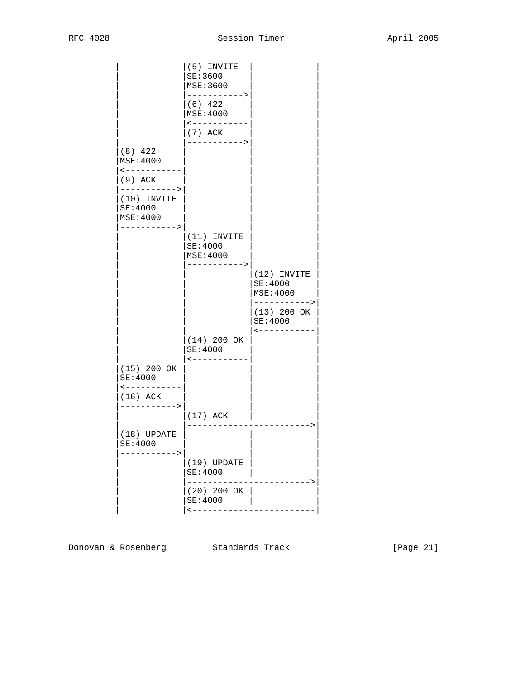|                                                                  | (5) INVITE<br>SE:3600<br><b>MSE:3600</b>                           |                                                    |
|------------------------------------------------------------------|--------------------------------------------------------------------|----------------------------------------------------|
|                                                                  | -----------><br>$(6)$ 422<br>MSE:4000<br>$- - - - - - - - - - - -$ |                                                    |
|                                                                  | $(7)$ ACK<br>----------->                                          |                                                    |
| $(8)$ 422<br><b>MSE:4000</b><br>$\leftarrow$ - - - - - - - - - - |                                                                    |                                                    |
| (9) ACK<br>----------->                                          |                                                                    |                                                    |
| $(10)$ INVITE<br>SE:4000<br><b>MSE:4000</b>                      |                                                                    |                                                    |
| ----------->                                                     | $ (11)$ INVITE<br>SE:4000<br>MSE:4000                              |                                                    |
|                                                                  | ---------->                                                        | (12) INVITE<br>SE:4000<br>MSE:4000<br>-----------> |
|                                                                  |                                                                    | $(13)$ 200 OK<br>SE:4000<br>$\lt - - - - -$        |
|                                                                  | $(14)$ 200 OK<br>SE:4000                                           |                                                    |
| $(15)$ 200 OK<br>SE:4000<br>$- - - - - - - -$                    | $- - - - - - - -$                                                  |                                                    |
| $(16)$ ACK<br>-------->                                          |                                                                    |                                                    |
|                                                                  | $(17)$ ACK                                                         |                                                    |
| $(18)$ UPDATE<br>SE:4000<br>$---$                                |                                                                    |                                                    |
|                                                                  | $(19)$ UPDATE<br><b>SE:4000</b>                                    |                                                    |
|                                                                  | $(20)$ 200 OK<br>SE:4000<br>$\leftarrow - - - -$                   |                                                    |
|                                                                  |                                                                    |                                                    |

Donovan & Rosenberg Standards Track [Page 21]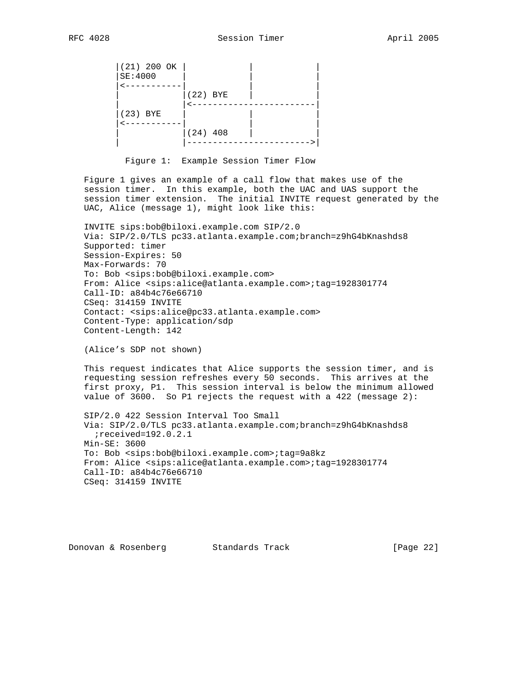$|(21)$  200 OK  $|$  |SE:4000 | | |  $\leftarrow$  - - - - - - - - - - - $|(22)$  BYE  $|$ | <------------------------ |(23) BYE | | | |<-----------| | |  $|(24) 408$  | | |------------------------>|

Figure 1: Example Session Timer Flow

 Figure 1 gives an example of a call flow that makes use of the session timer. In this example, both the UAC and UAS support the session timer extension. The initial INVITE request generated by the UAC, Alice (message 1), might look like this:

 INVITE sips:bob@biloxi.example.com SIP/2.0 Via: SIP/2.0/TLS pc33.atlanta.example.com;branch=z9hG4bKnashds8 Supported: timer Session-Expires: 50 Max-Forwards: 70 To: Bob <sips:bob@biloxi.example.com> From: Alice <sips:alice@atlanta.example.com>;tag=1928301774 Call-ID: a84b4c76e66710 CSeq: 314159 INVITE Contact: <sips:alice@pc33.atlanta.example.com> Content-Type: application/sdp Content-Length: 142

(Alice's SDP not shown)

 This request indicates that Alice supports the session timer, and is requesting session refreshes every 50 seconds. This arrives at the first proxy, P1. This session interval is below the minimum allowed value of 3600. So P1 rejects the request with a 422 (message 2):

 SIP/2.0 422 Session Interval Too Small Via: SIP/2.0/TLS pc33.atlanta.example.com;branch=z9hG4bKnashds8 ;received=192.0.2.1 Min-SE: 3600 To: Bob <sips:bob@biloxi.example.com>;tag=9a8kz From: Alice <sips:alice@atlanta.example.com>;tag=1928301774 Call-ID: a84b4c76e66710 CSeq: 314159 INVITE

Donovan & Rosenberg Standards Track [Page 22]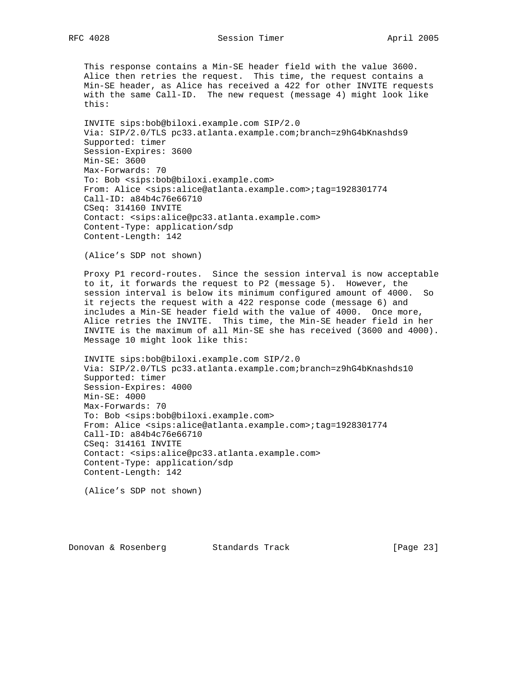This response contains a Min-SE header field with the value 3600. Alice then retries the request. This time, the request contains a Min-SE header, as Alice has received a 422 for other INVITE requests with the same Call-ID. The new request (message 4) might look like this:

 INVITE sips:bob@biloxi.example.com SIP/2.0 Via: SIP/2.0/TLS pc33.atlanta.example.com;branch=z9hG4bKnashds9 Supported: timer Session-Expires: 3600 Min-SE: 3600 Max-Forwards: 70 To: Bob <sips:bob@biloxi.example.com> From: Alice <sips:alice@atlanta.example.com>;tag=1928301774 Call-ID: a84b4c76e66710 CSeq: 314160 INVITE Contact: <sips:alice@pc33.atlanta.example.com> Content-Type: application/sdp Content-Length: 142

(Alice's SDP not shown)

 Proxy P1 record-routes. Since the session interval is now acceptable to it, it forwards the request to P2 (message 5). However, the session interval is below its minimum configured amount of 4000. So it rejects the request with a 422 response code (message 6) and includes a Min-SE header field with the value of 4000. Once more, Alice retries the INVITE. This time, the Min-SE header field in her INVITE is the maximum of all Min-SE she has received (3600 and 4000). Message 10 might look like this:

 INVITE sips:bob@biloxi.example.com SIP/2.0 Via: SIP/2.0/TLS pc33.atlanta.example.com;branch=z9hG4bKnashds10 Supported: timer Session-Expires: 4000 Min-SE: 4000 Max-Forwards: 70 To: Bob <sips:bob@biloxi.example.com> From: Alice <sips:alice@atlanta.example.com>;tag=1928301774 Call-ID: a84b4c76e66710 CSeq: 314161 INVITE Contact: <sips:alice@pc33.atlanta.example.com> Content-Type: application/sdp Content-Length: 142

(Alice's SDP not shown)

Donovan & Rosenberg Standards Track [Page 23]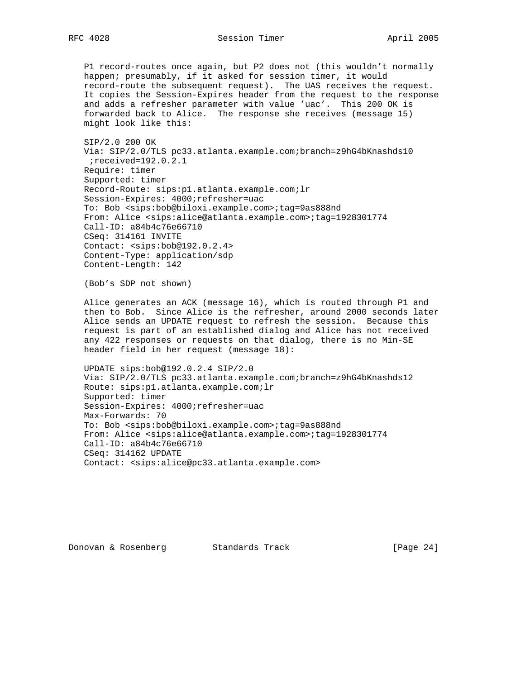### RFC 4028 Session Timer April 2005

 P1 record-routes once again, but P2 does not (this wouldn't normally happen; presumably, if it asked for session timer, it would record-route the subsequent request). The UAS receives the request. It copies the Session-Expires header from the request to the response and adds a refresher parameter with value 'uac'. This 200 OK is forwarded back to Alice. The response she receives (message 15) might look like this:

 SIP/2.0 200 OK Via: SIP/2.0/TLS pc33.atlanta.example.com;branch=z9hG4bKnashds10 ;received=192.0.2.1 Require: timer Supported: timer Record-Route: sips:p1.atlanta.example.com;lr Session-Expires: 4000;refresher=uac To: Bob <sips:bob@biloxi.example.com>;tag=9as888nd From: Alice <sips:alice@atlanta.example.com>;tag=1928301774 Call-ID: a84b4c76e66710 CSeq: 314161 INVITE Contact: <sips:bob@192.0.2.4> Content-Type: application/sdp Content-Length: 142

(Bob's SDP not shown)

 Alice generates an ACK (message 16), which is routed through P1 and then to Bob. Since Alice is the refresher, around 2000 seconds later Alice sends an UPDATE request to refresh the session. Because this request is part of an established dialog and Alice has not received any 422 responses or requests on that dialog, there is no Min-SE header field in her request (message 18):

 UPDATE sips:bob@192.0.2.4 SIP/2.0 Via: SIP/2.0/TLS pc33.atlanta.example.com;branch=z9hG4bKnashds12 Route: sips:p1.atlanta.example.com;lr Supported: timer Session-Expires: 4000;refresher=uac Max-Forwards: 70 To: Bob <sips:bob@biloxi.example.com>;tag=9as888nd From: Alice <sips:alice@atlanta.example.com>;tag=1928301774 Call-ID: a84b4c76e66710 CSeq: 314162 UPDATE Contact: <sips:alice@pc33.atlanta.example.com>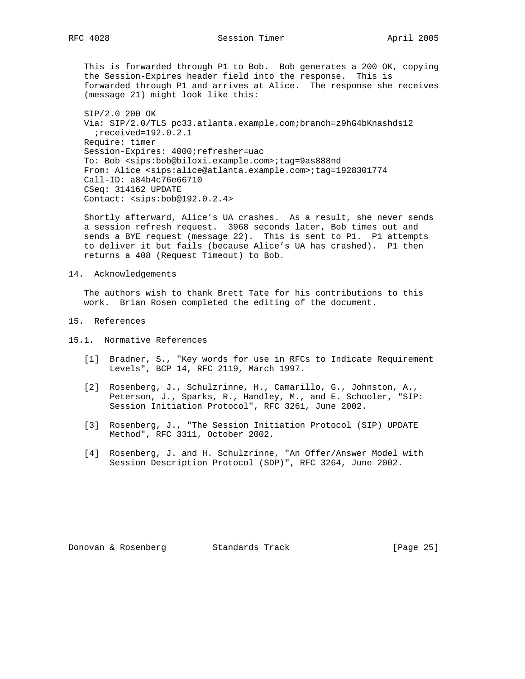This is forwarded through P1 to Bob. Bob generates a 200 OK, copying the Session-Expires header field into the response. This is forwarded through P1 and arrives at Alice. The response she receives (message 21) might look like this:

 SIP/2.0 200 OK Via: SIP/2.0/TLS pc33.atlanta.example.com;branch=z9hG4bKnashds12 ;received=192.0.2.1 Require: timer Session-Expires: 4000;refresher=uac To: Bob <sips:bob@biloxi.example.com>;tag=9as888nd From: Alice <sips:alice@atlanta.example.com>;tag=1928301774 Call-ID: a84b4c76e66710 CSeq: 314162 UPDATE Contact: <sips:bob@192.0.2.4>

 Shortly afterward, Alice's UA crashes. As a result, she never sends a session refresh request. 3968 seconds later, Bob times out and sends a BYE request (message 22). This is sent to P1. P1 attempts to deliver it but fails (because Alice's UA has crashed). P1 then returns a 408 (Request Timeout) to Bob.

### 14. Acknowledgements

 The authors wish to thank Brett Tate for his contributions to this work. Brian Rosen completed the editing of the document.

- 15. References
- 15.1. Normative References
	- [1] Bradner, S., "Key words for use in RFCs to Indicate Requirement Levels", BCP 14, RFC 2119, March 1997.
	- [2] Rosenberg, J., Schulzrinne, H., Camarillo, G., Johnston, A., Peterson, J., Sparks, R., Handley, M., and E. Schooler, "SIP: Session Initiation Protocol", RFC 3261, June 2002.
	- [3] Rosenberg, J., "The Session Initiation Protocol (SIP) UPDATE Method", RFC 3311, October 2002.
	- [4] Rosenberg, J. and H. Schulzrinne, "An Offer/Answer Model with Session Description Protocol (SDP)", RFC 3264, June 2002.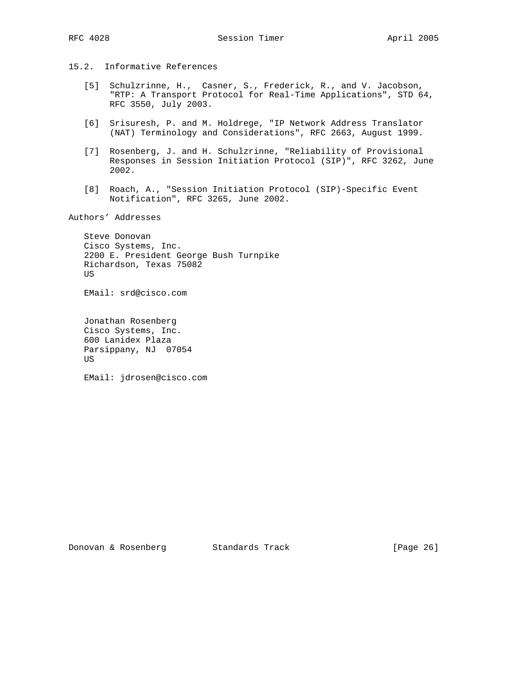15.2. Informative References

- [5] Schulzrinne, H., Casner, S., Frederick, R., and V. Jacobson, "RTP: A Transport Protocol for Real-Time Applications", STD 64, RFC 3550, July 2003.
- [6] Srisuresh, P. and M. Holdrege, "IP Network Address Translator (NAT) Terminology and Considerations", RFC 2663, August 1999.
- [7] Rosenberg, J. and H. Schulzrinne, "Reliability of Provisional Responses in Session Initiation Protocol (SIP)", RFC 3262, June 2002.
- [8] Roach, A., "Session Initiation Protocol (SIP)-Specific Event Notification", RFC 3265, June 2002.

Authors' Addresses

 Steve Donovan Cisco Systems, Inc. 2200 E. President George Bush Turnpike Richardson, Texas 75082 US

EMail: srd@cisco.com

 Jonathan Rosenberg Cisco Systems, Inc. 600 Lanidex Plaza Parsippany, NJ 07054 US

EMail: jdrosen@cisco.com